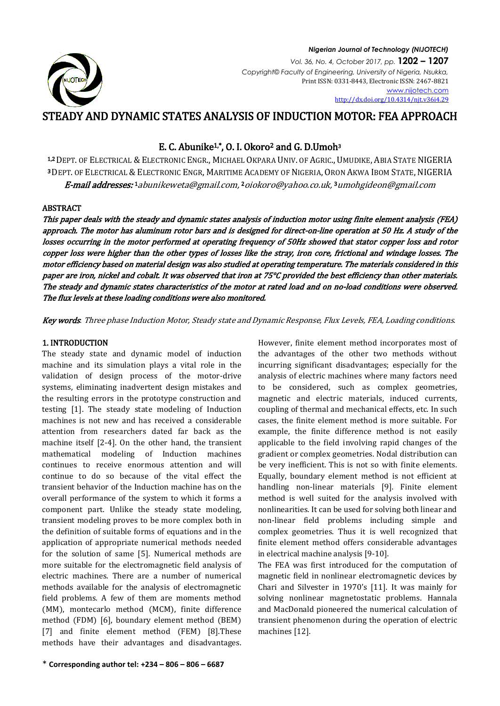

#### *Nigerian Journal of Technology (NIJOTECH) Vol. 36, No. 4, October 2017, pp.* **1202 – 1207** *Copyright© Faculty of Engineering, University of Nigeria, Nsukka,*  Print ISSN: 0331-8443, Electronic ISSN: 2467-8821 [www.nijotech.com](http://www.nijotech.com/) [http://dx.doi.org/10.4314/njt.v36i4.29](http://dx.doi.org/10.4314/njt.v36i3.1)

# STEADY AND DYNAMIC STATES ANALYSIS OF INDUCTION MOTOR: FEA APPROACH

## E. C. Abunike1,\*, O. I. Okoro2 and G. D.Umoh<sup>3</sup>

1,2 DEPT. OF ELECTRICAL & ELECTRONIC ENGR., MICHAEL OKPARA UNIV. OF AGRIC., UMUDIKE, ABIA STATE NIGERIA <sup>3</sup> DEPT. OF ELECTRICAL & ELECTRONIC ENGR, MARITIME ACADEMY OF NIGERIA, ORON AKWA IBOM STATE, NIGERIA **E-mail addresses:** 1 abunikeweta@gmail.com, 2 [oiokoro@yahoo.co.uk,](mailto:2oiokoro@yahoo.co.uk) 3 [umohgideon@gmail.com](mailto:3umohgideon@gmail.com)

### ABSTRACT

This paper deals with the steady and dynamic states analysis of induction motor using finite element analysis (FEA) approach. The motor has aluminum rotor bars and is designed for direct-on-line operation at 50 Hz. A study of the losses occurring in the motor performed at operating frequency of 50Hz showed that stator copper loss and rotor copper loss were higher than the other types of losses like the stray, iron core, frictional and windage losses. The motor efficiency based on material design was also studied at operating temperature. The materials considered in this paper are iron, nickel and cobalt. It was observed that iron at 75°C provided the best efficiency than other materials. The steady and dynamic states characteristics of the motor at rated load and on no-load conditions were observed. The flux levels at these loading conditions were also monitored.

Key words. Three phase Induction Motor, Steady state and Dynamic Response, Flux Levels, FEA, Loading conditions.

## 1. INTRODUCTION

The steady state and dynamic model of induction machine and its simulation plays a vital role in the validation of design process of the motor-drive systems, eliminating inadvertent design mistakes and the resulting errors in the prototype construction and testing [1]. The steady state modeling of Induction machines is not new and has received a considerable attention from researchers dated far back as the machine itself [2-4]. On the other hand, the transient mathematical modeling of Induction machines continues to receive enormous attention and will continue to do so because of the vital effect the transient behavior of the Induction machine has on the overall performance of the system to which it forms a component part. Unlike the steady state modeling, transient modeling proves to be more complex both in the definition of suitable forms of equations and in the application of appropriate numerical methods needed for the solution of same [5]. Numerical methods are more suitable for the electromagnetic field analysis of electric machines. There are a number of numerical methods available for the analysis of electromagnetic field problems. A few of them are moments method (MM), montecarlo method (MCM), finite difference method (FDM) [6], boundary element method (BEM) [7] and finite element method (FEM) [8].These methods have their advantages and disadvantages.

However, finite element method incorporates most of the advantages of the other two methods without incurring significant disadvantages; especially for the analysis of electric machines where many factors need to be considered, such as complex geometries, magnetic and electric materials, induced currents, coupling of thermal and mechanical effects, etc. In such cases, the finite element method is more suitable. For example, the finite difference method is not easily applicable to the field involving rapid changes of the gradient or complex geometries. Nodal distribution can be very inefficient. This is not so with finite elements. Equally, boundary element method is not efficient at handling non-linear materials [9]. Finite element method is well suited for the analysis involved with nonlinearities. It can be used for solving both linear and non-linear field problems including simple and complex geometries. Thus it is well recognized that finite element method offers considerable advantages in electrical machine analysis [9-10].

The FEA was first introduced for the computation of magnetic field in nonlinear electromagnetic devices by Chari and Silvester in 1970's [11]. It was mainly for solving nonlinear magnetostatic problems. Hannala and MacDonald pioneered the numerical calculation of transient phenomenon during the operation of electric machines [12].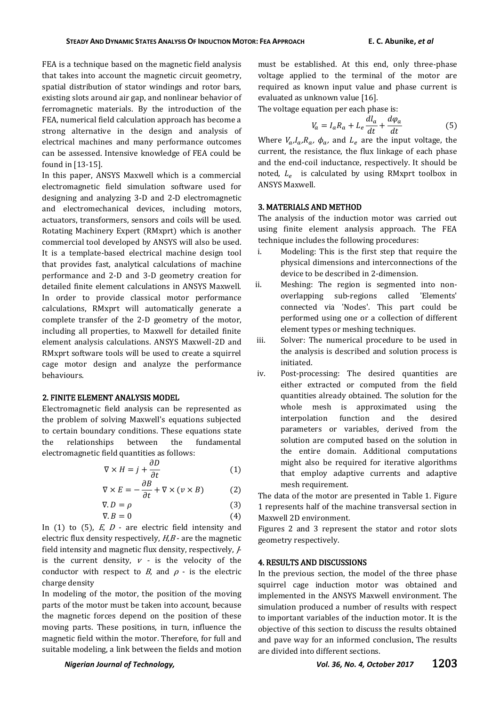FEA is a technique based on the magnetic field analysis that takes into account the magnetic circuit geometry, spatial distribution of stator windings and rotor bars, existing slots around air gap, and nonlinear behavior of ferromagnetic materials. By the introduction of the FEA, numerical field calculation approach has become a strong alternative in the design and analysis of electrical machines and many performance outcomes can be assessed. Intensive knowledge of FEA could be found in [13-15].

In this paper, ANSYS Maxwell which is a commercial electromagnetic field simulation software used for designing and analyzing 3-D and 2-D electromagnetic and electromechanical devices, including motors, actuators, transformers, sensors and coils will be used. Rotating Machinery Expert (RMxprt) which is another commercial tool developed by ANSYS will also be used. It is a template-based electrical machine design tool that provides fast, analytical calculations of machine performance and 2-D and 3-D geometry creation for detailed finite element calculations in ANSYS Maxwell. In order to provide classical motor performance calculations, RMxprt will automatically generate a complete transfer of the 2-D geometry of the motor, including all properties, to Maxwell for detailed finite element analysis calculations. ANSYS Maxwell-2D and RMxprt software tools will be used to create a squirrel cage motor design and analyze the performance behaviours.

#### 2. FINITE ELEMENT ANALYSIS MODEL

Electromagnetic field analysis can be represented as the problem of solving Maxwell's equations subjected to certain boundary conditions. These equations state the relationships between the fundamental electromagnetic field quantities as follows:

$$
\nabla \times H = j + \frac{\partial D}{\partial t} \tag{1}
$$

$$
\nabla \times E = -\frac{\partial B}{\partial t} + \nabla \times (v \times B) \tag{2}
$$

$$
\nabla \cdot \mathbf{D} = \rho \tag{3}
$$
\n
$$
\nabla \cdot \mathbf{B} = 0 \tag{4}
$$

In (1) to (5),  $E$ ,  $D$  - are electric field intensity and electric flux density respectively,  $H, B$  - are the magnetic field intensity and magnetic flux density, respectively, Jis the current density,  $v$  - is the velocity of the conductor with respect to  $B$ , and  $\rho$  - is the electric charge density

In modeling of the motor, the position of the moving parts of the motor must be taken into account, because the magnetic forces depend on the position of these moving parts. These positions, in turn, influence the magnetic field within the motor. Therefore, for full and suitable modeling, a link between the fields and motion

must be established. At this end, only three-phase voltage applied to the terminal of the motor are required as known input value and phase current is evaluated as unknown value [16].

The voltage equation per each phase is:

$$
V_a = I_a R_a + L_e \frac{dl_a}{dt} + \frac{d\varphi_a}{dt}
$$
 (5)

Where  $V_a, I_a, R_a, \phi_a$ , and  $L_e$  are the input voltage, the current, the resistance, the flux linkage of each phase and the end-coil inductance, respectively. It should be noted,  $L_e$  is calculated by using RMxprt toolbox in ANSYS Maxwell.

#### 3. MATERIALS AND METHOD

The analysis of the induction motor was carried out using finite element analysis approach. The FEA technique includes the following procedures:

- i. Modeling: This is the first step that require the physical dimensions and interconnections of the device to be described in 2-dimension.
- ii. Meshing: The region is segmented into nonoverlapping sub-regions called 'Elements' connected via 'Nodes'. This part could be performed using one or a collection of different element types or meshing techniques.
- iii. Solver: The numerical procedure to be used in the analysis is described and solution process is initiated.
- iv. Post-processing: The desired quantities are either extracted or computed from the field quantities already obtained. The solution for the whole mesh is approximated using the interpolation function and the desired parameters or variables, derived from the solution are computed based on the solution in the entire domain. Additional computations might also be required for iterative algorithms that employ adaptive currents and adaptive mesh requirement.

The data of the motor are presented in Table 1. Figure 1 represents half of the machine transversal section in Maxwell 2D environment.

Figures 2 and 3 represent the stator and rotor slots geometry respectively.

#### 4. RESULTS AND DISCUSSIONS

In the previous section, the model of the three phase squirrel cage induction motor was obtained and implemented in the ANSYS Maxwell environment. The simulation produced a number of results with respect to important variables of the induction motor. It is the objective of this section to discuss the results obtained and pave way for an informed conclusion. The results are divided into different sections.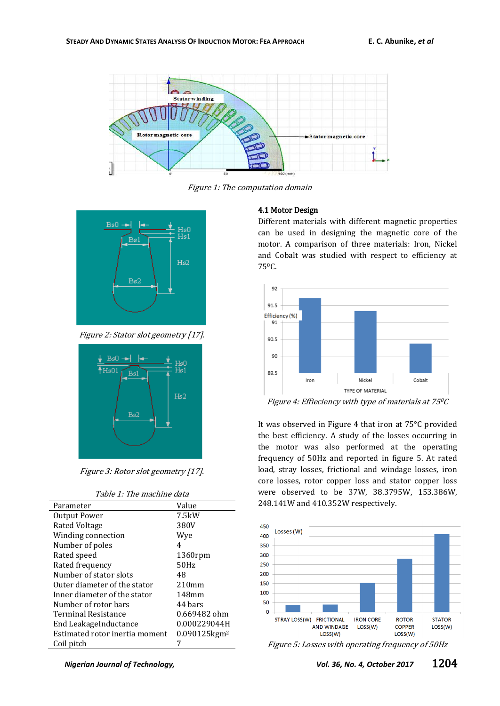

Figure 1: The computation domain



Figure 2: Stator slot geometry [17].



Figure 3: Rotor slot geometry [17].

| Parameter                      | Value                    |
|--------------------------------|--------------------------|
| Output Power                   | 7.5kW                    |
| <b>Rated Voltage</b>           | 380V                     |
| Winding connection             | Wye                      |
| Number of poles                | 4                        |
| Rated speed                    | 1360rpm                  |
| Rated frequency                | 50Hz                     |
| Number of stator slots         | 48                       |
| Outer diameter of the stator   | 210mm                    |
| Inner diameter of the stator   | 148mm                    |
| Number of rotor bars           | 44 bars                  |
| Terminal Resistance            | 0.669482 ohm             |
| End LeakageInductance          | 0.000229044H             |
| Estimated rotor inertia moment | 0.090125kgm <sup>2</sup> |
| Coil pitch                     |                          |

### 4.1 Motor Design

Different materials with different magnetic properties can be used in designing the magnetic core of the motor. A comparison of three materials: Iron, Nickel and Cobalt was studied with respect to efficiency at 750C.



Figure 4: Effieciency with type of materials at 75<sup>0</sup>C

It was observed in Figure 4 that iron at 75°C provided the best efficiency. A study of the losses occurring in the motor was also performed at the operating frequency of 50Hz and reported in figure 5. At rated load, stray losses, frictional and windage losses, iron core losses, rotor copper loss and stator copper loss were observed to be 37W, 38.3795W, 153.386W, 248.141W and 410.352W respectively.



Figure 5: Losses with operating frequency of 50Hz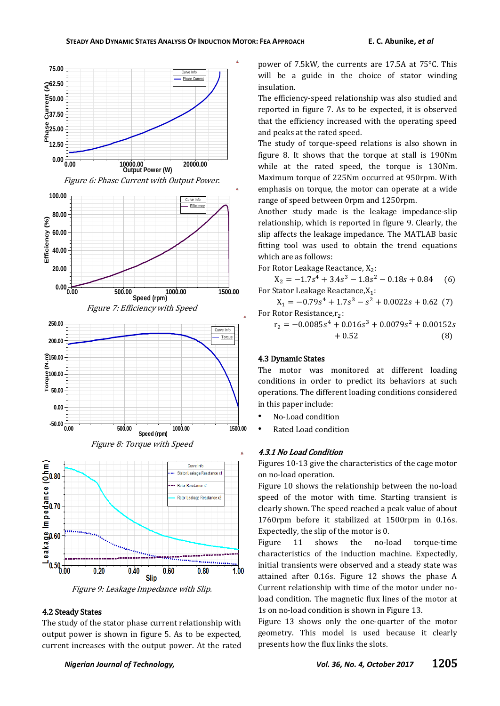









Figure 9: Leakage Impedance with Slip.

## 4.2 Steady States

The study of the stator phase current relationship with output power is shown in figure 5. As to be expected, current increases with the output power. At the rated power of 7.5kW, the currents are 17.5A at 75°C. This will be a guide in the choice of stator winding insulation.

The efficiency-speed relationship was also studied and reported in figure 7. As to be expected, it is observed that the efficiency increased with the operating speed and peaks at the rated speed.

The study of torque-speed relations is also shown in figure 8. It shows that the torque at stall is 190Nm while at the rated speed, the torque is 130Nm. Maximum torque of 225Nm occurred at 950rpm. With emphasis on torque, the motor can operate at a wide range of speed between 0rpm and 1250rpm.

Another study made is the leakage impedance-slip relationship, which is reported in figure 9. Clearly, the slip affects the leakage impedance. The MATLAB basic fitting tool was used to obtain the trend equations which are as follows:

For Rotor Leakage Reactance, X<sub>2</sub>:

 $X_2 = -1.7s^4 + 3.4s^3 - 1.8s^2 - 0.18s + 0.8$  $(6)$ For Stator Leakage Reactance, $X_1$ :

 $X_1 = -0.79s^4 + 1.7s^3 - s^2 + 0.0022s + 0.62$  (7) For Rotor Resistance, r2:

 $r_2 = -0.0085s^4 + 0.016s^3 + 0.0079s^2 + 0.0015$  $+0.52$  $(8)$ 

#### 4.3 Dynamic States

The motor was monitored at different loading conditions in order to predict its behaviors at such operations. The different loading conditions considered in this paper include:

- No-Load condition
- Rated Load condition

#### 4.3.1 No Load Condition

Ä

Figures 10-13 give the characteristics of the cage motor on no-load operation.

Figure 10 shows the relationship between the no-load speed of the motor with time. Starting transient is clearly shown. The speed reached a peak value of about 1760rpm before it stabilized at 1500rpm in 0.16s. Expectedly, the slip of the motor is 0.

Figure 11 shows the no-load torque-time characteristics of the induction machine. Expectedly, initial transients were observed and a steady state was attained after 0.16s. Figure 12 shows the phase A Current relationship with time of the motor under noload condition. The magnetic flux lines of the motor at 1s on no-load condition is shown in Figure 13.

Figure 13 shows only the one-quarter of the motor geometry. This model is used because it clearly presents how the flux links the slots.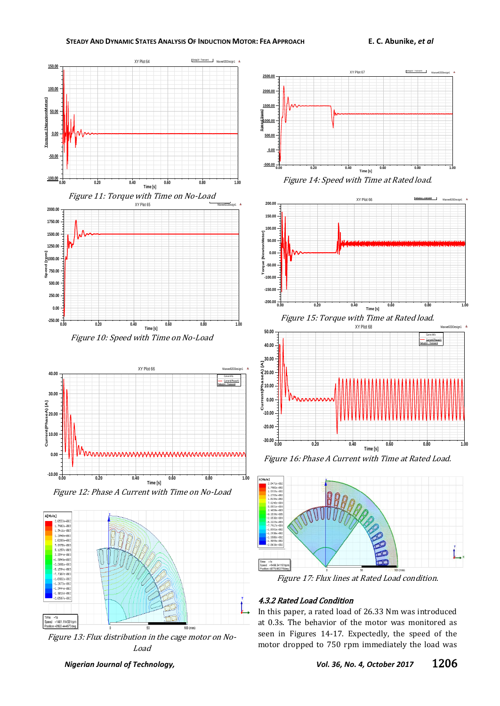



Figure 12: Phase A Current with Time on No-Load **Time [s]**

**-10.00**



Figure 13: Flux distribution in the cage motor on No-Load



**-200.00 -150.00 -100.00 -50.00 0.00 50.00 100.00 150.00 200.00 Torque [NewtonMeter]** XY Plot 66



Figure 16: Phase A Current with Time at Rated Load.



Figure 17: Flux lines at Rated Load condition.

## 4.3.2 Rated Load Condition

In this paper, a rated load of 26.33 Nm was introduced at 0.3s. The behavior of the motor was monitored as seen in Figures 14-17. Expectedly, the speed of the motor dropped to 750 rpm immediately the load was